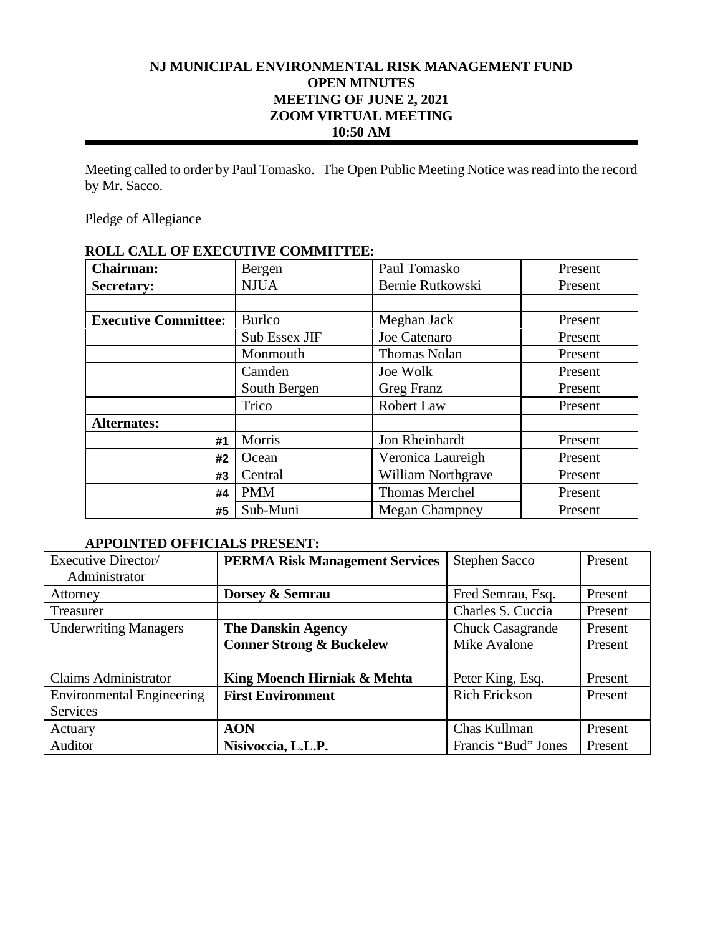# **NJ MUNICIPAL ENVIRONMENTAL RISK MANAGEMENT FUND OPEN MINUTES MEETING OF JUNE 2, 2021 ZOOM VIRTUAL MEETING 10:50 AM**

Meeting called to order by Paul Tomasko. The Open Public Meeting Notice was read into the record by Mr. Sacco.

Pledge of Allegiance

| <b>Chairman:</b>            | Bergen        | Paul Tomasko              | Present |
|-----------------------------|---------------|---------------------------|---------|
| <b>Secretary:</b>           | <b>NJUA</b>   | Bernie Rutkowski          | Present |
|                             |               |                           |         |
| <b>Executive Committee:</b> | <b>Burlco</b> | Meghan Jack               | Present |
|                             | Sub Essex JIF | Joe Catenaro              | Present |
|                             | Monmouth      | <b>Thomas Nolan</b>       | Present |
|                             | Camden        | Joe Wolk                  | Present |
|                             | South Bergen  | Greg Franz                | Present |
|                             | Trico         | Robert Law                | Present |
| <b>Alternates:</b>          |               |                           |         |
| #1                          | Morris        | Jon Rheinhardt            | Present |
| #2                          | Ocean         | Veronica Laureigh         | Present |
| #3                          | Central       | <b>William Northgrave</b> | Present |
| #4                          | <b>PMM</b>    | <b>Thomas Merchel</b>     | Present |
| #5                          | Sub-Muni      | <b>Megan Champney</b>     | Present |

# **ROLL CALL OF EXECUTIVE COMMITTEE:**

### **APPOINTED OFFICIALS PRESENT:**

| Executive Director/              | <b>PERMA Risk Management Services</b> | <b>Stephen Sacco</b>    | Present |
|----------------------------------|---------------------------------------|-------------------------|---------|
| Administrator                    |                                       |                         |         |
| Attorney                         | Dorsey & Semrau                       | Fred Semrau, Esq.       | Present |
| Treasurer                        |                                       | Charles S. Cuccia       | Present |
| <b>Underwriting Managers</b>     | <b>The Danskin Agency</b>             | <b>Chuck Casagrande</b> | Present |
|                                  | <b>Conner Strong &amp; Buckelew</b>   | Mike Avalone            | Present |
|                                  |                                       |                         |         |
| <b>Claims Administrator</b>      | King Moench Hirniak & Mehta           | Peter King, Esq.        | Present |
| <b>Environmental Engineering</b> | <b>First Environment</b>              | <b>Rich Erickson</b>    | Present |
| <b>Services</b>                  |                                       |                         |         |
| Actuary                          | <b>AON</b>                            | Chas Kullman            | Present |
| Auditor                          | Nisivoccia, L.L.P.                    | Francis "Bud" Jones     | Present |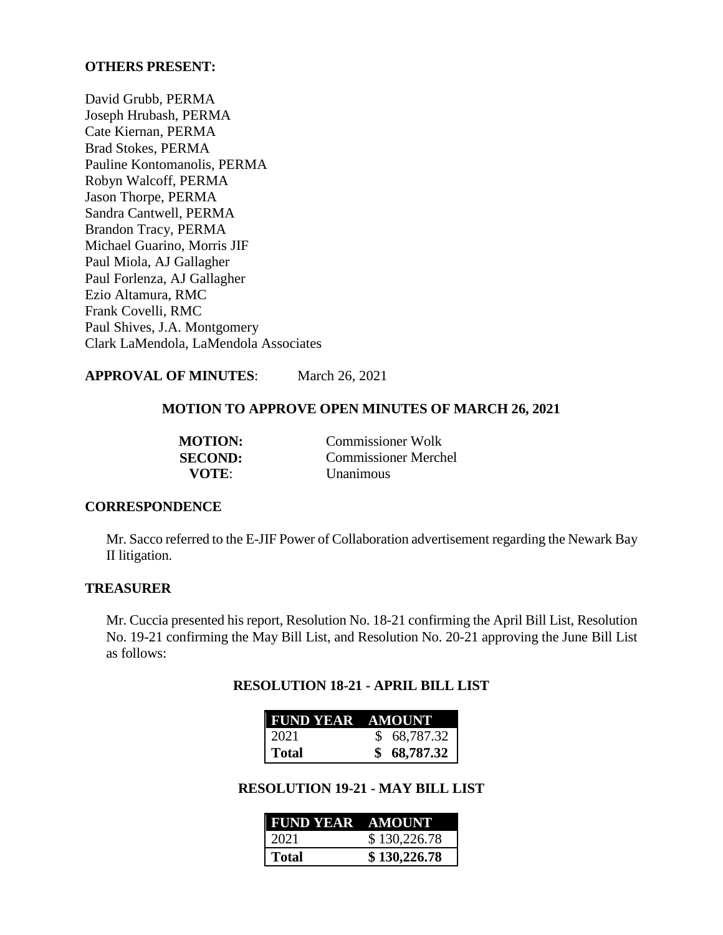#### **OTHERS PRESENT:**

David Grubb, PERMA Joseph Hrubash, PERMA Cate Kiernan, PERMA Brad Stokes, PERMA Pauline Kontomanolis, PERMA Robyn Walcoff, PERMA Jason Thorpe, PERMA Sandra Cantwell, PERMA Brandon Tracy, PERMA Michael Guarino, Morris JIF Paul Miola, AJ Gallagher Paul Forlenza, AJ Gallagher Ezio Altamura, RMC Frank Covelli, RMC Paul Shives, J.A. Montgomery Clark LaMendola, LaMendola Associates

**APPROVAL OF MINUTES**: March 26, 2021

#### **MOTION TO APPROVE OPEN MINUTES OF MARCH 26, 2021**

**MOTION:** Commissioner Wolk **SECOND:** Commissioner Merchel<br>VOTE: Unanimous *<u>Unanimous</u>* 

#### **CORRESPONDENCE**

Mr. Sacco referred to the E-JIF Power of Collaboration advertisement regarding the Newark Bay II litigation.

#### **TREASURER**

Mr. Cuccia presented his report, Resolution No. 18-21 confirming the April Bill List, Resolution No. 19-21 confirming the May Bill List, and Resolution No. 20-21 approving the June Bill List as follows:

#### **RESOLUTION 18-21 - APRIL BILL LIST**

| <b>FUND YEAR AMOUNT</b> |             |
|-------------------------|-------------|
| -2021                   | \$68,787.32 |
| l Total                 | 68,787.32   |

**RESOLUTION 19-21 - MAY BILL LIST**

| <b>FUND YEAR AMOUNT</b> |              |
|-------------------------|--------------|
| 2021                    | \$130,226.78 |
| Total                   | \$130,226.78 |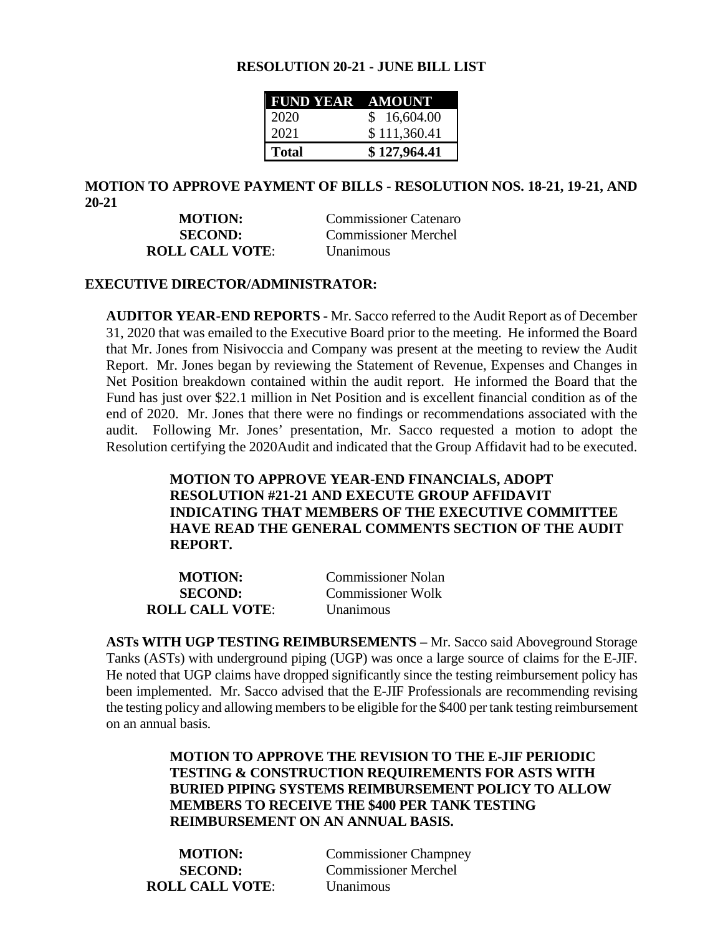#### **RESOLUTION 20-21 - JUNE BILL LIST**

| <b>FUND YEAR AMOUNT</b> |              |
|-------------------------|--------------|
| 2020                    | \$16,604.00  |
| 2021                    | \$111,360.41 |
| <b>Total</b>            | \$127,964.41 |

#### **MOTION TO APPROVE PAYMENT OF BILLS - RESOLUTION NOS. 18-21, 19-21, AND 20-21**

**MOTION:** Commissioner Catenaro **SECOND:** Commissioner Merchel **ROLL CALL VOTE**: Unanimous

#### **EXECUTIVE DIRECTOR/ADMINISTRATOR:**

**AUDITOR YEAR-END REPORTS -** Mr. Sacco referred to the Audit Report as of December 31, 2020 that was emailed to the Executive Board prior to the meeting. He informed the Board that Mr. Jones from Nisivoccia and Company was present at the meeting to review the Audit Report. Mr. Jones began by reviewing the Statement of Revenue, Expenses and Changes in Net Position breakdown contained within the audit report. He informed the Board that the Fund has just over \$22.1 million in Net Position and is excellent financial condition as of the end of 2020. Mr. Jones that there were no findings or recommendations associated with the audit. Following Mr. Jones' presentation, Mr. Sacco requested a motion to adopt the Resolution certifying the 2020Audit and indicated that the Group Affidavit had to be executed.

# **MOTION TO APPROVE YEAR-END FINANCIALS, ADOPT RESOLUTION #21-21 AND EXECUTE GROUP AFFIDAVIT INDICATING THAT MEMBERS OF THE EXECUTIVE COMMITTEE HAVE READ THE GENERAL COMMENTS SECTION OF THE AUDIT REPORT.**

| <b>MOTION:</b>         | <b>Commissioner Nolan</b> |
|------------------------|---------------------------|
| <b>SECOND:</b>         | <b>Commissioner Wolk</b>  |
| <b>ROLL CALL VOTE:</b> | <b>Unanimous</b>          |

**ASTs WITH UGP TESTING REIMBURSEMENTS –** Mr. Sacco said Aboveground Storage Tanks (ASTs) with underground piping (UGP) was once a large source of claims for the E-JIF. He noted that UGP claims have dropped significantly since the testing reimbursement policy has been implemented. Mr. Sacco advised that the E-JIF Professionals are recommending revising the testing policy and allowing members to be eligible for the \$400 per tank testing reimbursement on an annual basis.

# **MOTION TO APPROVE THE REVISION TO THE E-JIF PERIODIC TESTING & CONSTRUCTION REQUIREMENTS FOR ASTS WITH BURIED PIPING SYSTEMS REIMBURSEMENT POLICY TO ALLOW MEMBERS TO RECEIVE THE \$400 PER TANK TESTING REIMBURSEMENT ON AN ANNUAL BASIS.**

| <b>MOTION:</b>         | <b>Commissioner Champney</b> |
|------------------------|------------------------------|
| <b>SECOND:</b>         | <b>Commissioner Merchel</b>  |
| <b>ROLL CALL VOTE:</b> | <b>Unanimous</b>             |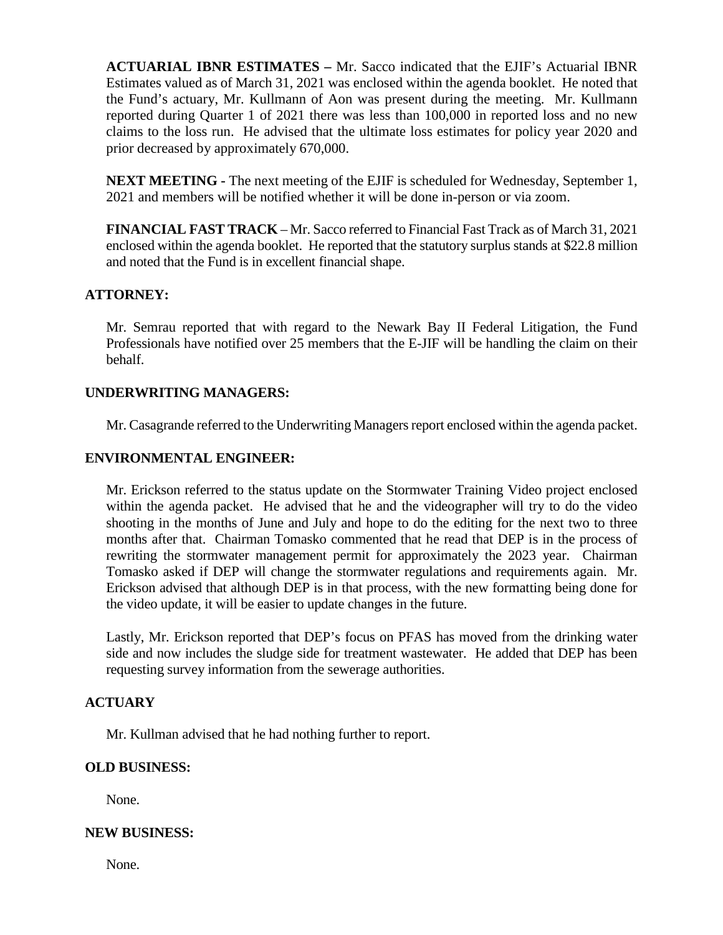**ACTUARIAL IBNR ESTIMATES –** Mr. Sacco indicated that the EJIF's Actuarial IBNR Estimates valued as of March 31, 2021 was enclosed within the agenda booklet. He noted that the Fund's actuary, Mr. Kullmann of Aon was present during the meeting. Mr. Kullmann reported during Quarter 1 of 2021 there was less than 100,000 in reported loss and no new claims to the loss run. He advised that the ultimate loss estimates for policy year 2020 and prior decreased by approximately 670,000.

**NEXT MEETING -** The next meeting of the EJIF is scheduled for Wednesday, September 1, 2021 and members will be notified whether it will be done in-person or via zoom.

**FINANCIAL FAST TRACK** – Mr. Sacco referred to Financial Fast Track as of March 31, 2021 enclosed within the agenda booklet. He reported that the statutory surplus stands at \$22.8 million and noted that the Fund is in excellent financial shape.

# **ATTORNEY:**

Mr. Semrau reported that with regard to the Newark Bay II Federal Litigation, the Fund Professionals have notified over 25 members that the E-JIF will be handling the claim on their behalf.

# **UNDERWRITING MANAGERS:**

Mr. Casagrande referred to the Underwriting Managers report enclosed within the agenda packet.

# **ENVIRONMENTAL ENGINEER:**

Mr. Erickson referred to the status update on the Stormwater Training Video project enclosed within the agenda packet. He advised that he and the videographer will try to do the video shooting in the months of June and July and hope to do the editing for the next two to three months after that. Chairman Tomasko commented that he read that DEP is in the process of rewriting the stormwater management permit for approximately the 2023 year. Chairman Tomasko asked if DEP will change the stormwater regulations and requirements again. Mr. Erickson advised that although DEP is in that process, with the new formatting being done for the video update, it will be easier to update changes in the future.

Lastly, Mr. Erickson reported that DEP's focus on PFAS has moved from the drinking water side and now includes the sludge side for treatment wastewater. He added that DEP has been requesting survey information from the sewerage authorities.

## **ACTUARY**

Mr. Kullman advised that he had nothing further to report.

### **OLD BUSINESS:**

None.

### **NEW BUSINESS:**

None.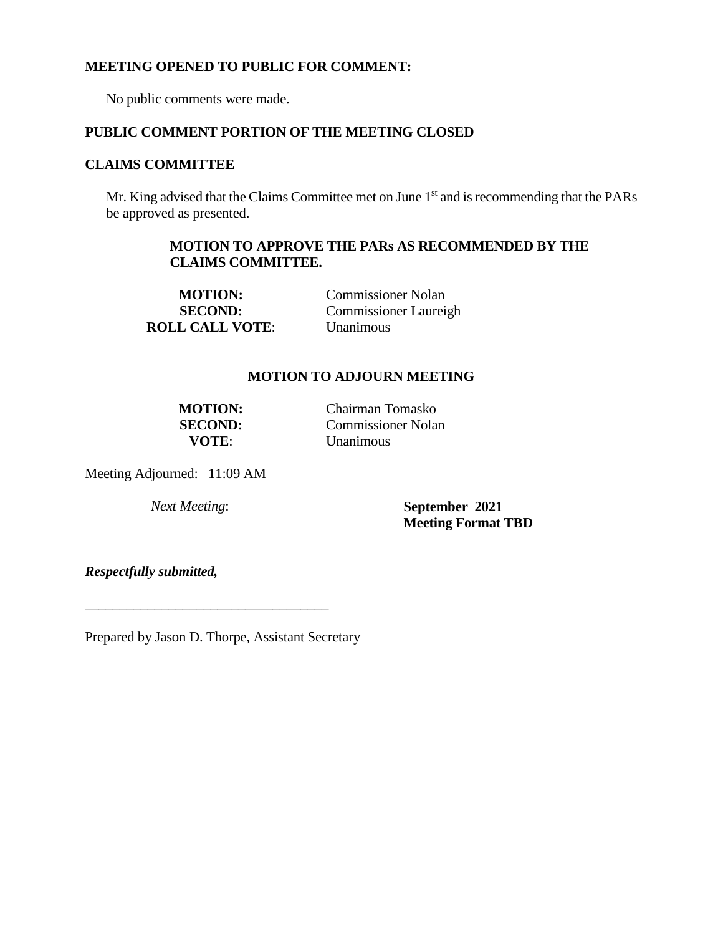## **MEETING OPENED TO PUBLIC FOR COMMENT:**

No public comments were made.

## **PUBLIC COMMENT PORTION OF THE MEETING CLOSED**

# **CLAIMS COMMITTEE**

Mr. King advised that the Claims Committee met on June  $1<sup>st</sup>$  and is recommending that the PARs be approved as presented.

# **MOTION TO APPROVE THE PARs AS RECOMMENDED BY THE CLAIMS COMMITTEE.**

**MOTION:** Commissioner Nolan **SECOND:** Commissioner Laureigh **ROLL CALL VOTE**: Unanimous

# **MOTION TO ADJOURN MEETING**

**MOTION:** Chairman Tomasko **SECOND:** Commissioner Nolan **VOTE**: Unanimous

Meeting Adjourned: 11:09 AM

*Next Meeting*: **September 2021 Meeting Format TBD**

*Respectfully submitted,*

Prepared by Jason D. Thorpe, Assistant Secretary

\_\_\_\_\_\_\_\_\_\_\_\_\_\_\_\_\_\_\_\_\_\_\_\_\_\_\_\_\_\_\_\_\_\_\_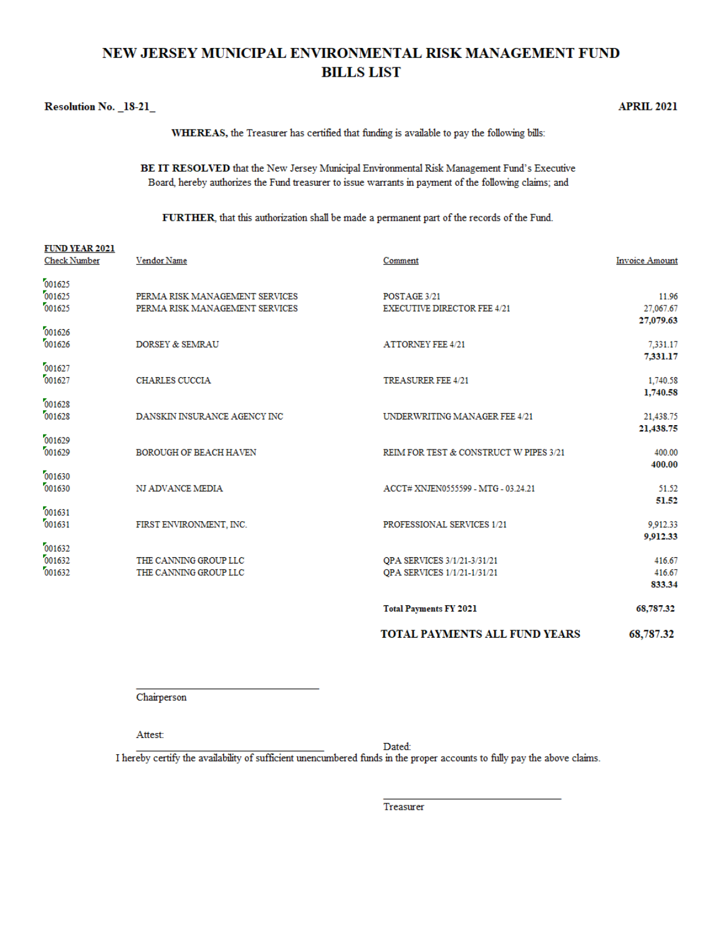# NEW JERSEY MUNICIPAL ENVIRONMENTAL RISK MANAGEMENT FUND **BILLS LIST**

#### Resolution No. 18-21

**BUD UP ID AGAI** 

**APRIL 2021** 

WHEREAS, the Treasurer has certified that funding is available to pay the following bills:

BE IT RESOLVED that the New Jersey Municipal Environmental Risk Management Fund's Executive Board, hereby authorizes the Fund treasurer to issue warrants in payment of the following claims; and

FURTHER, that this authorization shall be made a permanent part of the records of the Fund.

| FUND YEAR 2021<br><b>Check Number</b> | Vendor Name                                                      | Comment                                                    | <b>Invoice Amount</b>           |
|---------------------------------------|------------------------------------------------------------------|------------------------------------------------------------|---------------------------------|
| 001625<br>001625<br>001625            | PERMA RISK MANAGEMENT SERVICES<br>PERMA RISK MANAGEMENT SERVICES | POSTAGE 3/21<br><b>EXECUTIVE DIRECTOR FEE 4/21</b>         | 11.96<br>27,067.67<br>27,079.63 |
| 001626<br>001626                      | <b>DORSEY &amp; SEMRAU</b>                                       | <b>ATTORNEY FEE 4/21</b>                                   | 7.331.17                        |
| 001627<br>001627                      | <b>CHARLES CUCCIA</b>                                            | TREASURER FEE 4/21                                         | 7,331.17<br>1,740.58            |
| 001628<br>001628                      | DANSKIN INSURANCE AGENCY INC                                     | UNDERWRITING MANAGER FEE 4/21                              | 1,740.58<br>21,438.75           |
| 001629<br>001629                      | <b>BOROUGH OF BEACH HAVEN</b>                                    | REIM FOR TEST & CONSTRUCT W PIPES 3/21                     | 21,438.75<br>400.00             |
| 001630<br>001630                      | NJ ADVANCE MEDIA                                                 | ACCT# XNJEN0555599 - MTG - 03.24.21                        | 400.00<br>51.52                 |
| 001631<br>001631                      | FIRST ENVIRONMENT, INC.                                          | PROFESSIONAL SERVICES 1/21                                 | 51.52<br>9,912.33               |
| 001632<br>001632<br>001632            | THE CANNING GROUP LLC<br>THE CANNING GROUP LLC                   | QPA SERVICES 3/1/21-3/31/21<br>QPA SERVICES 1/1/21-1/31/21 | 9,912.33<br>416.67<br>416.67    |
|                                       |                                                                  | <b>Total Payments FY 2021</b>                              | 833.34<br>68,787.32             |
|                                       |                                                                  | <b>TOTAL PAYMENTS ALL FUND YEARS</b>                       | 68,787.32                       |

Chairperson

Attest:

Dated:

I hereby certify the availability of sufficient unencumbered funds in the proper accounts to fully pay the above claims.

Treasurer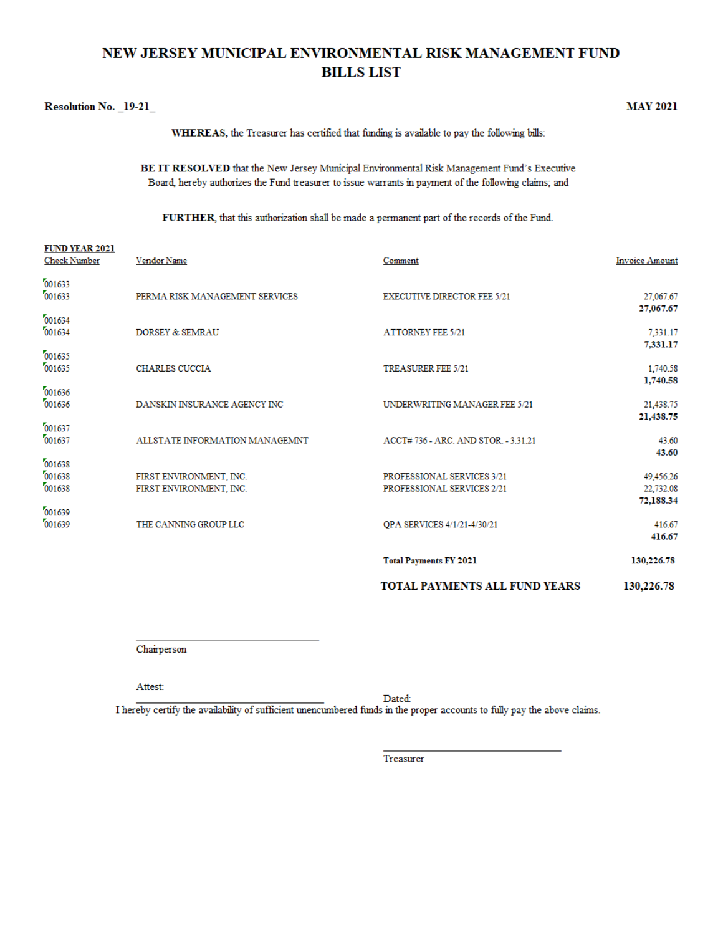# NEW JERSEY MUNICIPAL ENVIRONMENTAL RISK MANAGEMENT FUND **BILLS LIST**

#### Resolution No. 19-21

 $\overline{1}$   $\overline{1}$   $\overline{1}$   $\overline{1}$   $\overline{1}$   $\overline{1}$   $\overline{1}$   $\overline{1}$   $\overline{1}$   $\overline{1}$   $\overline{1}$   $\overline{1}$   $\overline{1}$   $\overline{1}$   $\overline{1}$   $\overline{1}$   $\overline{1}$   $\overline{1}$   $\overline{1}$   $\overline{1}$   $\overline{1}$   $\overline{1}$   $\overline{1}$   $\overline{1}$   $\overline{$ 

**MAY 2021** 

WHEREAS, the Treasurer has certified that funding is available to pay the following bills:

BE IT RESOLVED that the New Jersey Municipal Environmental Risk Management Fund's Executive Board, hereby authorizes the Fund treasurer to issue warrants in payment of the following claims; and

FURTHER, that this authorization shall be made a permanent part of the records of the Fund.

| <b>Check Number</b>        | Vendor Name                                        | Comment                                                  | <b>Invoice Amount</b>         |
|----------------------------|----------------------------------------------------|----------------------------------------------------------|-------------------------------|
| 001633<br>001633           | PERMA RISK MANAGEMENT SERVICES                     | <b>EXECUTIVE DIRECTOR FEE 5/21</b>                       | 27,067.67<br>27,067.67        |
| 001634<br>001634           | DORSEY & SEMRAU                                    | <b>ATTORNEY FEE 5/21</b>                                 | 7,331.17<br>7,331.17          |
| 001635<br>001635           | <b>CHARLES CUCCIA</b>                              | <b>TREASURER FEE 5/21</b>                                | 1,740.58<br>1,740.58          |
| 001636<br>001636           | DANSKIN INSURANCE AGENCY INC                       | UNDERWRITING MANAGER FEE 5/21                            | 21,438.75<br>21,438.75        |
| 001637<br>001637           | ALLSTATE INFORMATION MANAGEMNT                     | ACCT# 736 - ARC. AND STOR. - 3.31.21                     | 43.60<br>43.60                |
| 001638<br>001638<br>001638 | FIRST ENVIRONMENT, INC.<br>FIRST ENVIRONMENT, INC. | PROFESSIONAL SERVICES 3/21<br>PROFESSIONAL SERVICES 2/21 | 49,456.26<br>22,732.08        |
| 001639<br>001639           | THE CANNING GROUP LLC                              | <b>QPA SERVICES 4/1/21-4/30/21</b>                       | 72,188.34<br>416.67<br>416.67 |
|                            |                                                    | <b>Total Payments FY 2021</b>                            | 130,226.78                    |
|                            |                                                    | TOTAL PAYMENTS ALL FUND YEARS                            | 130,226.78                    |
|                            |                                                    |                                                          |                               |

Chairperson

Attest:

Dated: I hereby certify the availability of sufficient unencumbered funds in the proper accounts to fully pay the above claims.

Treasurer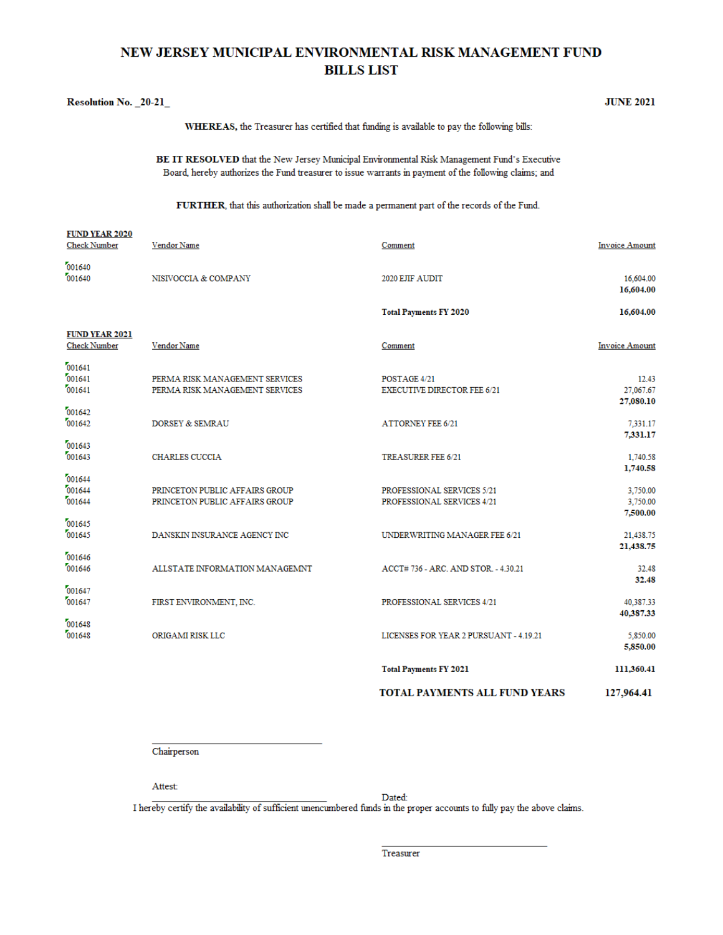# NEW JERSEY MUNICIPAL ENVIRONMENTAL RISK MANAGEMENT FUND **BILLS LIST**

WHEREAS, the Treasurer has certified that funding is available to pay the following bills:

|                                              |                                                                  | BE IT RESOLVED that the New Jersey Municipal Environmental Risk Management Fund's Executive<br>Board, hereby authorizes the Fund treasurer to issue warrants in payment of the following claims; and |                                   |
|----------------------------------------------|------------------------------------------------------------------|------------------------------------------------------------------------------------------------------------------------------------------------------------------------------------------------------|-----------------------------------|
|                                              |                                                                  | FURTHER, that this authorization shall be made a permanent part of the records of the Fund.                                                                                                          |                                   |
| <b>FUND YEAR 2020</b><br><b>Check Number</b> | Vendor Name                                                      | Comment                                                                                                                                                                                              | <b>Invoice Amount</b>             |
| 001640<br>001640                             | NISIVOCCIA & COMPANY                                             | 2020 EJIF AUDIT                                                                                                                                                                                      | 16,604.00<br>16,604.00            |
|                                              |                                                                  | <b>Total Payments FY 2020</b>                                                                                                                                                                        | 16,604.00                         |
| <b>FUND YEAR 2021</b><br><b>Check Number</b> | Vendor Name                                                      | Comment                                                                                                                                                                                              | <b>Invoice Amount</b>             |
| 001641<br>001641<br>001641                   | PERMA RISK MANAGEMENT SERVICES<br>PERMA RISK MANAGEMENT SERVICES | POSTAGE 4/21<br><b>EXECUTIVE DIRECTOR FEE 6/21</b>                                                                                                                                                   | 12.43<br>27,067.67<br>27,080.10   |
| 001642<br>001642                             | DORSEY & SEMRAU                                                  | <b>ATTORNEY FEE 6/21</b>                                                                                                                                                                             | 7.331.17<br>7.331.17              |
| 001643<br>001643                             | <b>CHARLES CUCCIA</b>                                            | <b>TREASURER FEE 6/21</b>                                                                                                                                                                            | 1,740.58<br>1,740.58              |
| 001644<br>001644<br>001644                   | PRINCETON PUBLIC AFFAIRS GROUP<br>PRINCETON PUBLIC AFFAIRS GROUP | PROFESSIONAL SERVICES 5/21<br>PROFESSIONAL SERVICES 4/21                                                                                                                                             | 3,750.00<br>3,750.00<br>7,500.00  |
| 001645<br>001645                             | DANSKIN INSURANCE AGENCY INC                                     | UNDERWRITING MANAGER FEE 6/21                                                                                                                                                                        | 21,438.75                         |
| 001646<br>001646                             | ALLSTATE INFORMATION MANAGEMNT                                   | ACCT# 736 - ARC. AND STOR. - 4.30.21                                                                                                                                                                 | 21,438.75<br>32.48                |
| 001647<br>001647                             | FIRST ENVIRONMENT, INC.                                          | PROFESSIONAL SERVICES 4/21                                                                                                                                                                           | 32.48<br>40.387.33                |
| 001648<br>001648                             | ORIGAMI RISK LLC                                                 | LICENSES FOR YEAR 2 PURSUANT - 4.19.21                                                                                                                                                               | 40,387.33<br>5,850.00<br>5,850.00 |
|                                              |                                                                  | <b>Total Payments FY 2021</b>                                                                                                                                                                        | 111,360.41                        |

TOTAL PAYMENTS ALL FUND YEARS 127,964.41

**JUNE 2021** 

Chairperson

Attest:

Resolution No. \_20-21\_

Dated:

I hereby certify the availability of sufficient unencumbered funds in the proper accounts to fully pay the above claims.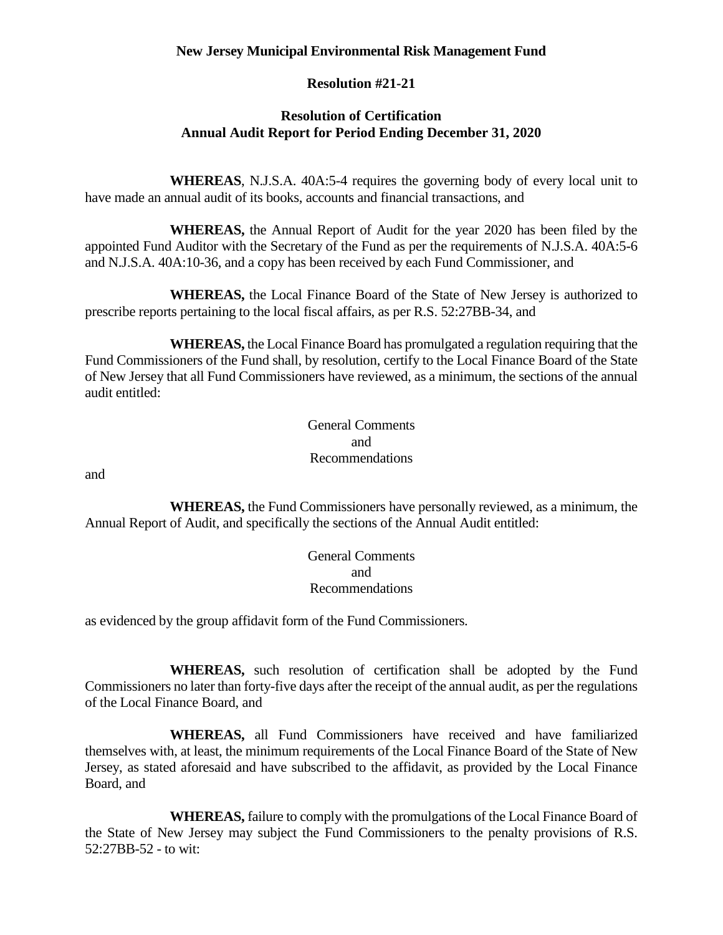## **New Jersey Municipal Environmental Risk Management Fund**

# **Resolution #21-21**

# **Resolution of Certification Annual Audit Report for Period Ending December 31, 2020**

**WHEREAS**, N.J.S.A. 40A:5-4 requires the governing body of every local unit to have made an annual audit of its books, accounts and financial transactions, and

**WHEREAS,** the Annual Report of Audit for the year 2020 has been filed by the appointed Fund Auditor with the Secretary of the Fund as per the requirements of N.J.S.A. 40A:5-6 and N.J.S.A. 40A:10-36, and a copy has been received by each Fund Commissioner, and

**WHEREAS,** the Local Finance Board of the State of New Jersey is authorized to prescribe reports pertaining to the local fiscal affairs, as per R.S. 52:27BB-34, and

**WHEREAS,** the Local Finance Board has promulgated a regulation requiring that the Fund Commissioners of the Fund shall, by resolution, certify to the Local Finance Board of the State of New Jersey that all Fund Commissioners have reviewed, as a minimum, the sections of the annual audit entitled:

# General Comments and Recommendations

and

**WHEREAS,** the Fund Commissioners have personally reviewed, as a minimum, the Annual Report of Audit, and specifically the sections of the Annual Audit entitled:

> General Comments and Recommendations

as evidenced by the group affidavit form of the Fund Commissioners.

**WHEREAS,** such resolution of certification shall be adopted by the Fund Commissioners no later than forty-five days after the receipt of the annual audit, as per the regulations of the Local Finance Board, and

**WHEREAS,** all Fund Commissioners have received and have familiarized themselves with, at least, the minimum requirements of the Local Finance Board of the State of New Jersey, as stated aforesaid and have subscribed to the affidavit, as provided by the Local Finance Board, and

**WHEREAS,** failure to comply with the promulgations of the Local Finance Board of the State of New Jersey may subject the Fund Commissioners to the penalty provisions of R.S. 52:27BB-52 - to wit: